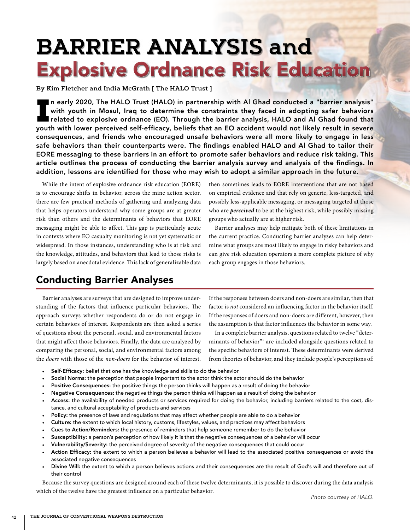# **BARRIER ANALYSIS and** Explosive Ordnance Risk Education

**By Kim Fletcher and India McGrath [ The HALO Trust ]**

In early 2020, The HALO Trust (HALO) in partnership with Al Ghad conducted a "barrier analysis"<br>with youth in Mosul, Iraq to determine the constraints they faced in adopting safer behaviors<br>related to explosive ordnance (E n early 2020, The HALO Trust (HALO) in partnership with Al Ghad conducted a "barrier analysis" with youth in Mosul, Iraq to determine the constraints they faced in adopting safer behaviors related to explosive ordnance (EO). Through the barrier analysis, HALO and Al Ghad found that consequences, and friends who encouraged unsafe behaviors were all more likely to engage in less safe behaviors than their counterparts were. The findings enabled HALO and Al Ghad to tailor their EORE messaging to these barriers in an effort to promote safer behaviors and reduce risk taking. This article outlines the process of conducting the barrier analysis survey and analysis of the findings. In addition, lessons are identified for those who may wish to adopt a similar approach in the future.

While the intent of explosive ordnance risk education (EORE) is to encourage shifts in behavior, across the mine action sector, there are few practical methods of gathering and analyzing data that helps operators understand why some groups are at greater risk than others and the determinants of behaviors that EORE messaging might be able to affect. This gap is particularly acute in contexts where EO casualty monitoring is not yet systematic or widespread. In those instances, understanding who is at risk and the knowledge, attitudes, and behaviors that lead to those risks is largely based on anecdotal evidence. This lack of generalizable data then sometimes leads to EORE interventions that are not based on empirical evidence and that rely on generic, less-targeted, and possibly less-applicable messaging, or messaging targeted at those who are *perceived* to be at the highest risk, while possibly missing groups who actually are at higher risk.

Barrier analyses may help mitigate both of these limitations in the current practice. Conducting barrier analyses can help determine what groups are most likely to engage in risky behaviors and can give risk education operators a more complete picture of why each group engages in those behaviors.

# Conducting Barrier Analyses

Barrier analyses are surveys that are designed to improve understanding of the factors that influence particular behaviors. The approach surveys whether respondents do or do not engage in certain behaviors of interest. Respondents are then asked a series of questions about the personal, social, and environmental factors that might affect those behaviors. Finally, the data are analyzed by comparing the personal, social, and environmental factors among the *doers* with those of the *non-doers* for the behavior of interest. If the responses between doers and non-doers are similar, then that factor is *not* considered an influencing factor in the behavior itself. If the responses of doers and non-doers are different, however, then the assumption is that factor influences the behavior in some way.

In a complete barrier analysis, questions related to twelve "determinants of behavior"1 are included alongside questions related to the specific behaviors of interest. These determinants were derived from theories of behavior, and they include people's perceptions of:

- Self-Efficacy: belief that one has the knowledge and skills to do the behavior
- Social Norms: the perception that people important to the actor think the actor should do the behavior
- Positive Consequences: the positive things the person thinks will happen as a result of doing the behavior
- Negative Consequences: the negative things the person thinks will happen as a result of doing the behavior
- Access: the availability of needed products or services required for doing the behavior, including barriers related to the cost, distance, and cultural acceptability of products and services
- Policy: the presence of laws and regulations that may affect whether people are able to do a behavior
- Culture: the extent to which local history, customs, lifestyles, values, and practices may affect behaviors
- Cues to Action/Reminders: the presence of reminders that help someone remember to do the behavior
- Susceptibility: a person's perception of how likely it is that the negative consequences of a behavior will occur
- Vulnerability/Severity: the perceived degree of severity of the negative consequences that could occur
- Action Efficacy: the extent to which a person believes a behavior will lead to the associated positive consequences or avoid the associated negative consequences
- Divine Will: the extent to which a person believes actions and their consequences are the result of God's will and therefore out of their control

Because the survey questions are designed around each of these twelve determinants, it is possible to discover during the data analysis which of the twelve have the greatest influence on a particular behavior.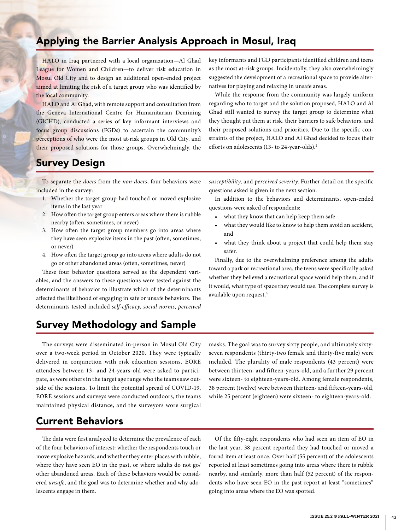# Applying the Barrier Analysis Approach in Mosul, Iraq

HALO in Iraq partnered with a local organization—Al Ghad League for Women and Children—to deliver risk education in Mosul Old City and to design an additional open-ended project aimed at limiting the risk of a target group who was identified by the local community.

HALO and Al Ghad, with remote support and consultation from the Geneva International Centre for Humanitarian Demining (GICHD), conducted a series of key informant interviews and focus group discussions (FGDs) to ascertain the community's perceptions of who were the most at-risk groups in Old City, and their proposed solutions for those groups. Overwhelmingly, the key informants and FGD participants identified children and teens as the most at-risk groups. Incidentally, they also overwhelmingly suggested the development of a recreational space to provide alternatives for playing and relaxing in unsafe areas.

While the response from the community was largely uniform regarding who to target and the solution proposed, HALO and Al Ghad still wanted to survey the target group to determine what they thought put them at risk, their barriers to safe behaviors, and their proposed solutions and priorities. Due to the specific constraints of the project, HALO and Al Ghad decided to focus their efforts on adolescents (13- to 24-year-olds).<sup>2</sup>

# Survey Design

To separate the *doers* from the *non-doers*, four behaviors were included in the survey:

- 1. Whether the target group had touched or moved explosive items in the last year
- 2. How often the target group enters areas where there is rubble nearby (often, sometimes, or never)
- 3. How often the target group members go into areas where they have seen explosive items in the past (often, sometimes, or never)
- 4. How often the target group go into areas where adults do not go or other abandoned areas (often, sometimes, never)

These four behavior questions served as the dependent variables, and the answers to these questions were tested against the determinants of behavior to illustrate which of the determinants affected the likelihood of engaging in safe or unsafe behaviors. The determinants tested included *self-efficacy*, *social norms*, *perceived*  *susceptibility*, and p*erceived severity*. Further detail on the specific questions asked is given in the next section.

In addition to the behaviors and determinants, open-ended questions were asked of respondents:

- what they know that can help keep them safe
- what they would like to know to help them avoid an accident, and
- what they think about a project that could help them stay safer.

Finally, due to the overwhelming preference among the adults toward a park or recreational area, the teens were specifically asked whether they believed a recreational space would help them, and if it would, what type of space they would use. The complete survey is available upon request.<sup>3</sup>

# Survey Methodology and Sample

The surveys were disseminated in-person in Mosul Old City over a two-week period in October 2020. They were typically delivered in conjunction with risk education sessions. EORE attendees between 13- and 24-years-old were asked to participate, as were others in the target age range who the teams saw outside of the sessions. To limit the potential spread of COVID-19, EORE sessions and surveys were conducted outdoors, the teams maintained physical distance, and the surveyors wore surgical masks. The goal was to survey sixty people, and ultimately sixtyseven respondents (thirty-two female and thirty-five male) were included. The plurality of male respondents (43 percent) were between thirteen- and fifteen-years-old, and a further 29 percent were sixteen- to eighteen-years-old. Among female respondents, 38 percent (twelve) were between thirteen- and fifteen-years-old, while 25 percent (eighteen) were sixteen- to eighteen-years-old.

### Current Behaviors

The data were first analyzed to determine the prevalence of each of the four behaviors of interest: whether the respondents touch or move explosive hazards, and whether they enter places with rubble, where they have seen EO in the past, or where adults do not go/ other abandoned areas. Each of these behaviors would be considered *unsafe*, and the goal was to determine whether and why adolescents engage in them.

Of the fifty-eight respondents who had seen an item of EO in the last year, 38 percent reported they had touched or moved a found item at least once. Over half (55 percent) of the adolescents reported at least sometimes going into areas where there is rubble nearby, and similarly, more than half (52 percent) of the respondents who have seen EO in the past report at least "sometimes" going into areas where the EO was spotted.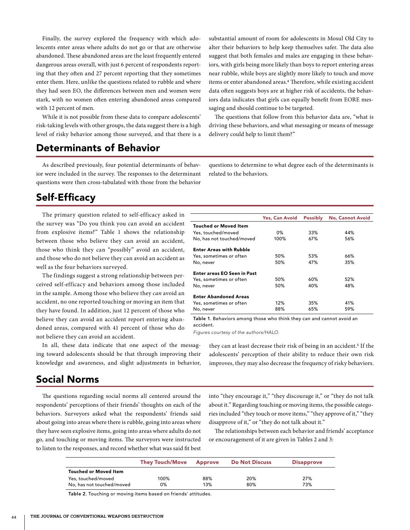Finally, the survey explored the frequency with which adolescents enter areas where adults do not go or that are otherwise abandoned. These abandoned areas are the least frequently entered dangerous areas overall, with just 6 percent of respondents reporting that they often and 27 percent reporting that they sometimes enter them. Here, unlike the questions related to rubble and where they had seen EO, the differences between men and women were stark, with no women often entering abandoned areas compared with 12 percent of men.

While it is not possible from these data to compare adolescents' risk-taking levels with other groups, the data suggest there is a high level of risky behavior among those surveyed, and that there is a

# Determinants of Behavior

As described previously, four potential determinants of behavior were included in the survey. The responses to the determinant questions were then cross-tabulated with those from the behavior substantial amount of room for adolescents in Mosul Old City to alter their behaviors to help keep themselves safer. The data also suggest that both females and males are engaging in these behaviors, with girls being more likely than boys to report entering areas near rubble, while boys are slightly more likely to touch and move items or enter abandoned areas.<sup>4</sup> Therefore, while existing accident data often suggests boys are at higher risk of accidents, the behaviors data indicates that girls can equally benefit from EORE messaging and should continue to be targeted.

The questions that follow from this behavior data are, "what is driving these behaviors, and what messaging or means of message delivery could help to limit them?"

questions to determine to what degree each of the determinants is related to the behaviors.

### Self-Efficacy

The primary question related to self-efficacy asked in the survey was "Do you think you can avoid an accident from explosive items?" Table 1 shows the relationship between those who believe they can avoid an accident, those who think they can "possibly" avoid an accident, and those who do not believe they can avoid an accident as well as the four behaviors surveyed.

The findings suggest a strong relationship between perceived self-efficacy and behaviors among those included in the sample. Among those who believe they *can* avoid an accident, no one reported touching or moving an item that they have found. In addition, just 12 percent of those who believe they can avoid an accident report entering abandoned areas, compared with 41 percent of those who do not believe they can avoid an accident.

In all, these data indicate that one aspect of the messaging toward adolescents should be that through improving their knowledge and awareness, and slight adjustments in behavior,

#### Yes, Can Avoid Possibly No, Cannot Avoid Touched or Moved Item Yes, touched/moved 0% 33% 44% No, has not touched/moved Enter Areas with Rubble Yes, sometimes or often 50% 53% 66% No, never 50% 47% 35% Enter areas EO Seen in Past Yes, sometimes or often 50% 50% 60% 52% No, never 50% 40% 48% Enter Abandoned Areas Yes, sometimes or often 12% 35% 41% No, never 88% 65% 59%

Table 1. Behaviors among those who think they can and cannot avoid an accident.

*Figures courtesy of the authors/HALO.*

they can at least decrease their risk of being in an accident.<sup>5</sup> If the adolescents' perception of their ability to reduce their own risk improves, they may also decrease the frequency of risky behaviors.

### Social Norms

The questions regarding social norms all centered around the respondents' perceptions of their friends' thoughts on each of the behaviors. Surveyors asked what the respondents' friends said about going into areas where there is rubble, going into areas where they have seen explosive items, going into areas where adults do not go, and touching or moving items. The surveyors were instructed to listen to the responses, and record whether what was said fit best into "they encourage it," "they discourage it," or "they do not talk about it." Regarding touching or moving items, the possible categories included "they touch or move items," "they approve of it," "they disapprove of it," or "they do not talk about it."

The relationships between each behavior and friends' acceptance or encouragement of it are given in Tables 2 and 3:

|                              | <b>They Touch/Move</b> | Approve | <b>Do Not Discuss</b> | <b>Disapprove</b> |
|------------------------------|------------------------|---------|-----------------------|-------------------|
| <b>Touched or Moved Item</b> |                        |         |                       |                   |
| Yes, touched/moved           | 100%                   | 88%     | 20%                   | 27%               |
| No, has not touched/moved    | 0%                     | 13%     | 80%                   | 73%               |

Table 2. Touching or moving items based on friends' attitudes.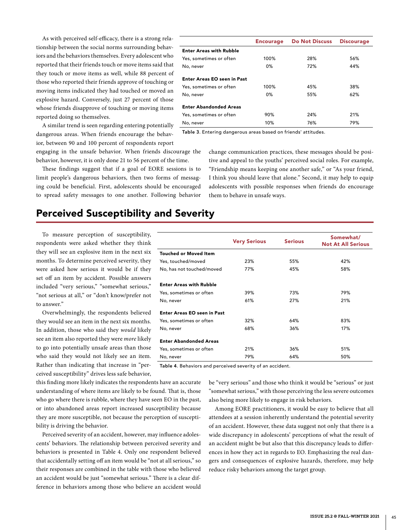As with perceived self-efficacy, there is a strong relationship between the social norms surrounding behaviors and the behaviors themselves. Every adolescent who reported that their friends touch or move items said that they touch or move items as well, while 88 percent of those who reported their friends approve of touching or moving items indicated they had touched or moved an explosive hazard. Conversely, just 27 percent of those whose friends disapprove of touching or moving items reported doing so themselves.

A similar trend is seen regarding entering potentially dangerous areas. When friends encourage the behavior, between 90 and 100 percent of respondents report

engaging in the unsafe behavior. When friends discourage the behavior, however, it is only done 21 to 56 percent of the time.

These findings suggest that if a goal of EORE sessions is to limit people's dangerous behaviors, then two forms of messaging could be beneficial. First, adolescents should be encouraged to spread safety messages to one another. Following behavior

| <b>Encourage</b> | <b>Do Not Discuss</b> | <b>Discourage</b> |
|------------------|-----------------------|-------------------|
|                  |                       |                   |
| 100%             | 28%                   | 56%               |
| $0\%$            | 72%                   | 44%               |
|                  |                       |                   |
| 100%             | 45%                   | 38%               |
| $0\%$            | 55%                   | 62%               |
|                  |                       |                   |
| 90%              | 24%                   | 21%               |
| 10%              | 76%                   | 79%               |
|                  |                       |                   |

Table 3. Entering dangerous areas based on friends' attitudes.

change communication practices, these messages should be positive and appeal to the youths' perceived social roles. For example, "Friendship means keeping one another safe," or "As your friend, I think you should leave that alone." Second, it may help to equip adolescents with possible responses when friends do encourage them to behave in unsafe ways.

## Perceived Susceptibility and Severity

To measure perception of susceptibility, respondents were asked whether they think they will see an explosive item in the next six months. To determine perceived severity, they were asked how serious it would be if they set off an item by accident. Possible answers included "very serious," "somewhat serious," "not serious at all," or "don't know/prefer not to answer."

Overwhelmingly, the respondents believed they would see an item in the next six months. In addition, those who said they *would* likely see an item also reported they were *more* likely to go into potentially unsafe areas than those who said they would not likely see an item. Rather than indicating that increase in "perceived susceptibility" drives less safe behavior,

Very Serious Serious Serious Somewhat/ Not At All Serious Touched or Moved Item Yes, touched/moved 23% 55% 42% No, has not touched/moved 77% 45% 58% Enter Areas with Rubble Yes, sometimes or often 39% 73% 79% No, never 61% 27% 21% Enter Areas EO seen in Past Yes, sometimes or often 32% 64% 83% No, never 68% 36% 17% Enter Abandonded Areas Yes, sometimes or often 21% 36% 51% No, never 79% 64% 50%

Table 4. Behaviors and perceived severity of an accident.

this finding more likely indicates the respondents have an accurate understanding of where items are likely to be found. That is, those who go where there is rubble, where they have seen EO in the past, or into abandoned areas report increased susceptibility because they are more susceptible, not because the perception of susceptibility is driving the behavior.

Perceived severity of an accident, however, may influence adolescents' behaviors. The relationship between perceived severity and behaviors is presented in Table 4. Only one respondent believed that accidentally setting off an item would be "not at all serious," so their responses are combined in the table with those who believed an accident would be just "somewhat serious." There is a clear difference in behaviors among those who believe an accident would be "very serious" and those who think it would be "serious" or just "somewhat serious," with those perceiving the less severe outcomes also being more likely to engage in risk behaviors.

Among EORE practitioners, it would be easy to believe that all attendees at a session inherently understand the potential severity of an accident. However, these data suggest not only that there is a wide discrepancy in adolescents' perceptions of what the result of an accident might be but also that this discrepancy leads to differences in how they act in regards to EO. Emphasizing the real dangers and consequences of explosive hazards, therefore, may help reduce risky behaviors among the target group.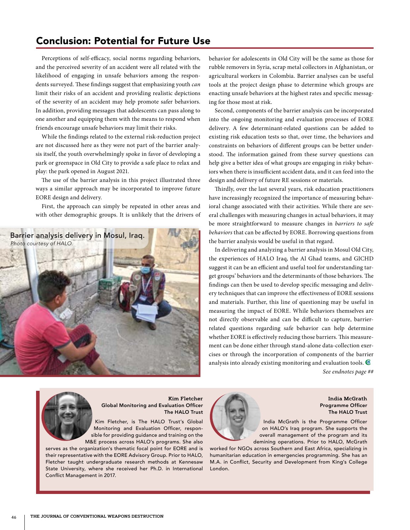## Conclusion: Potential for Future Use

Perceptions of self-efficacy, social norms regarding behaviors, and the perceived severity of an accident were all related with the likelihood of engaging in unsafe behaviors among the respondents surveyed. These findings suggest that emphasizing youth *can* limit their risks of an accident and providing realistic depictions of the severity of an accident may help promote safer behaviors. In addition, providing messages that adolescents can pass along to one another and equipping them with the means to respond when friends encourage unsafe behaviors may limit their risks.

While the findings related to the external risk-reduction project are not discussed here as they were not part of the barrier analysis itself, the youth overwhelmingly spoke in favor of developing a park or greenspace in Old City to provide a safe place to relax and play: the park opened in August 2021.

The use of the barrier analysis in this project illustrated three ways a similar approach may be incorporated to improve future EORE design and delivery.

First, the approach can simply be repeated in other areas and with other demographic groups. It is unlikely that the drivers of



behavior for adolescents in Old City will be the same as those for rubble removers in Syria, scrap metal collectors in Afghanistan, or agricultural workers in Colombia. Barrier analyses can be useful tools at the project design phase to determine which groups are enacting unsafe behaviors at the highest rates and specific messaging for those most at risk.

Second, components of the barrier analysis can be incorporated into the ongoing monitoring and evaluation processes of EORE delivery. A few determinant-related questions can be added to existing risk education tests so that, over time, the behaviors and constraints on behaviors of different groups can be better understood. The information gained from these survey questions can help give a better idea of what groups are engaging in risky behaviors when there is insufficient accident data, and it can feed into the design and delivery of future RE sessions or materials.

Thirdly, over the last several years, risk education practitioners have increasingly recognized the importance of measuring behavioral change associated with their activities. While there are several challenges with measuring changes in actual behaviors, it may be more straightforward to measure changes in *barriers to safe behaviors* that can be affected by EORE. Borrowing questions from the barrier analysis would be useful in that regard.

In delivering and analyzing a barrier analysis in Mosul Old City, the experiences of HALO Iraq, the Al Ghad teams, and GICHD suggest it can be an efficient and useful tool for understanding target groups' behaviors and the determinants of those behaviors. The findings can then be used to develop specific messaging and delivery techniques that can improve the effectiveness of EORE sessions and materials. Further, this line of questioning may be useful in measuring the impact of EORE. While behaviors themselves are not directly observable and can be difficult to capture, barrierrelated questions regarding safe behavior can help determine whether EORE is effectively reducing those barriers. This measurement can be done either through stand-alone data-collection exercises or through the incorporation of components of the barrier analysis into already existing monitoring and evaluation tools.

*See endnotes page ##*



**Kim Fletcher** Global Monitoring and Evaluation Officer The HALO Trust

Kim Fletcher, is The HALO Trust's Global Monitoring and Evaluation Officer, responsible for providing guidance and training on the M&E process across HALO's programs. She also

serves as the organization's thematic focal point for EORE and is their representative with the EORE Advisory Group. Prior to HALO, Fletcher taught undergraduate research methods at Kennesaw State University, where she received her Ph.D. in International Conflict Management in 2017.



**India McGrath** Programme Officer The HALO Trust

India McGrath is the Programme Officer on HALO's Iraq program. She supports the overall management of the program and its demining operations. Prior to HALO, McGrath

worked for NGOs across Southern and East Africa, specializing in humanitarian education in emergencies programming. She has an M.A. in Conflict, Security and Development from King's College London.